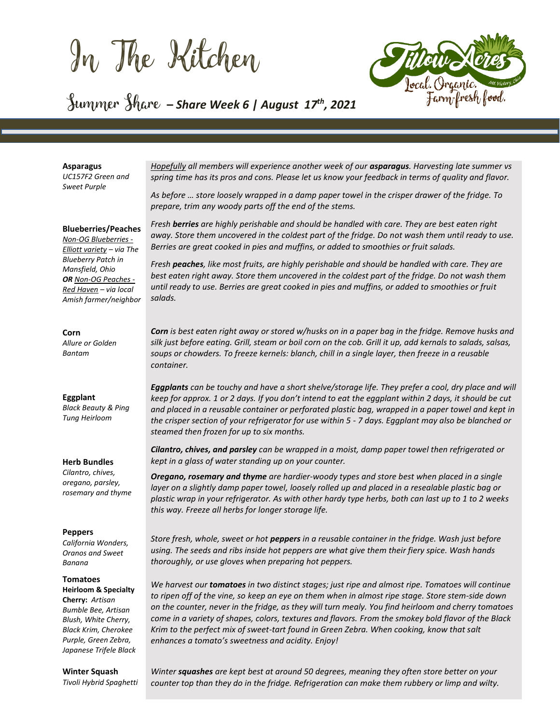In The Kitchen



## Summer Share **–** *Share Week 6 | August <sup>17</sup> th , 2021*

## **Asparagus**

*UC157F2 Green and Sweet Purple* 

#### **Blueberries/Peaches**

*Non-OG Blueberries - Elliott variety – via The Blueberry Patch in Mansfield, Ohio OR Non-OG Peaches - Red Haven – via local Amish farmer/neighbor*

## **Corn**

*Allure or Golden Bantam* 

## **Eggplant**

*Black Beauty & Ping Tung Heirloom*

## **Herb Bundles**

*Cilantro, chives, oregano, parsley, rosemary and thyme*

### **Peppers**

*California Wonders, Oranos and Sweet Banana*

#### **Tomatoes**

**Heirloom & Specialty Cherry:** *Artisan Bumble Bee, Artisan Blush, White Cherry, Black Krim, Cherokee Purple, Green Zebra, Japanese Trifele Black*

## **Winter Squash**

*Tivoli Hybrid Spaghetti*

*Hopefully all members will experience another week of our asparagus. Harvesting late summer vs spring time has its pros and cons. Please let us know your feedback in terms of quality and flavor.*

*As before … store loosely wrapped in a damp paper towel in the crisper drawer of the fridge. To prepare, trim any woody parts off the end of the stems.* 

*Fresh berries are highly perishable and should be handled with care. They are best eaten right away. Store them uncovered in the coldest part of the fridge. Do not wash them until ready to use. Berries are great cooked in pies and muffins, or added to smoothies or fruit salads.*

*Fresh peaches, like most fruits, are highly perishable and should be handled with care. They are best eaten right away. Store them uncovered in the coldest part of the fridge. Do not wash them until ready to use. Berries are great cooked in pies and muffins, or added to smoothies or fruit salads.*

*Corn is best eaten right away or stored w/husks on in a paper bag in the fridge. Remove husks and silk just before eating. Grill, steam or boil corn on the cob. Grill it up, add kernals to salads, salsas, soups or chowders. To freeze kernels: blanch, chill in a single layer, then freeze in a reusable container.*

*Eggplants can be touchy and have a short shelve/storage life. They prefer a cool, dry place and will keep for approx. 1 or 2 days. If you don't intend to eat the eggplant within 2 days, it should be cut and placed in a reusable container or perforated plastic bag, wrapped in a paper towel and kept in the crisper section of your refrigerator for use within 5 - 7 days. Eggplant may also be blanched or steamed then frozen for up to six months.*

*Cilantro, chives, and parsley can be wrapped in a moist, damp paper towel then refrigerated or kept in a glass of water standing up on your counter.* 

*Oregano, rosemary and thyme are hardier-woody types and store best when placed in a single layer on a slightly damp paper towel, loosely rolled up and placed in a resealable plastic bag or plastic wrap in your refrigerator. As with other hardy type herbs, both can last up to 1 to 2 weeks this way. Freeze all herbs for longer storage life.* 

*Store fresh, whole, sweet or hot peppers in a reusable container in the fridge. Wash just before using. The seeds and ribs inside hot peppers are what give them their fiery spice. Wash hands thoroughly, or use gloves when preparing hot peppers.*

*We harvest our tomatoes in two distinct stages; just ripe and almost ripe. Tomatoes will continue to ripen off of the vine, so keep an eye on them when in almost ripe stage. Store stem-side down on the counter, never in the fridge, as they will turn mealy. You find heirloom and cherry tomatoes come in a variety of shapes, colors, textures and flavors. From the smokey bold flavor of the Black Krim to the perfect mix of sweet-tart found in Green Zebra. When cooking, know that salt enhances a tomato's sweetness and acidity. Enjoy!* 

*Winter squashes are kept best at around 50 degrees, meaning they often store better on your counter top than they do in the fridge. Refrigeration can make them rubbery or limp and wilty.*